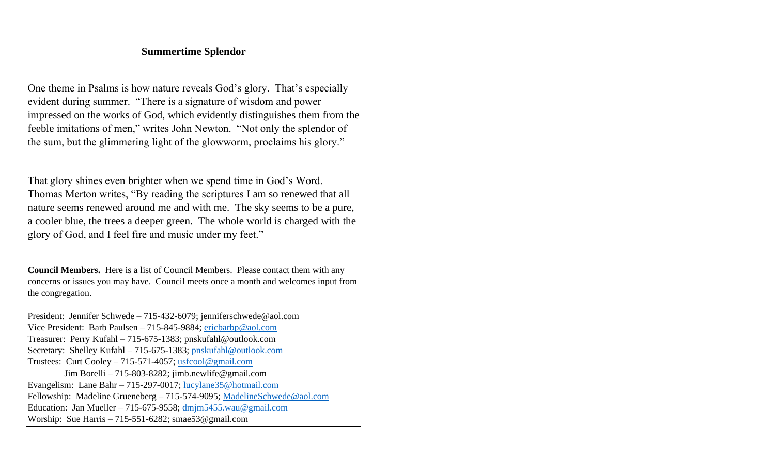## **Summertime Splendor**

One theme in Psalms is how nature reveals God's glory. That's especially evident during summer. "There is a signature of wisdom and power impressed on the works of God, which evidently distinguishes them from the feeble imitations of men," writes John Newton. "Not only the splendor of the sum, but the glimmering light of the glowworm, proclaims his glory."

That glory shines even brighter when we spend time in God's Word. Thomas Merton writes, "By reading the scriptures I am so renewed that all nature seems renewed around me and with me. The sky seems to be a pure, a cooler blue, the trees a deeper green. The whole world is charged with the glory of God, and I feel fire and music under my feet."

**Council Members.** Here is a list of Council Members. Please contact them with any concerns or issues you may have. Council meets once a month and welcomes input from the congregation.

President: Jennifer Schwede – 715-432-6079; jenniferschwede@aol.com Vice President: Barb Paulsen – 715-845-9884; [ericbarbp@aol.com](mailto:ericbarbp@aol.com) Treasurer: Perry Kufahl – 715-675-1383; pnskufahl@outlook.com Secretary: Shelley Kufahl – 715-675-1383; [pnskufahl@outlook.com](mailto:pnskufahl@outlook.com) Trustees: Curt Cooley – 715-571-4057; [usfcool@gmail.com](mailto:usfcool@gmail.com) Jim Borelli – 715-803-8282; jimb.newlife@gmail.com Evangelism: Lane Bahr – 715-297-0017; [lucylane35@hotmail.com](mailto:lucylane35@hotmail.com) Fellowship: Madeline Grueneberg – 715-574-9095; [MadelineSchwede@aol.com](mailto:MadelineSchwede@aol.com) Education: Jan Mueller – 715-675-9558; [dmjm5455.wau@gmail.com](mailto:dmjm5455.wau@gmail.com) Worship: Sue Harris – 715-551-6282; smae53@gmail.com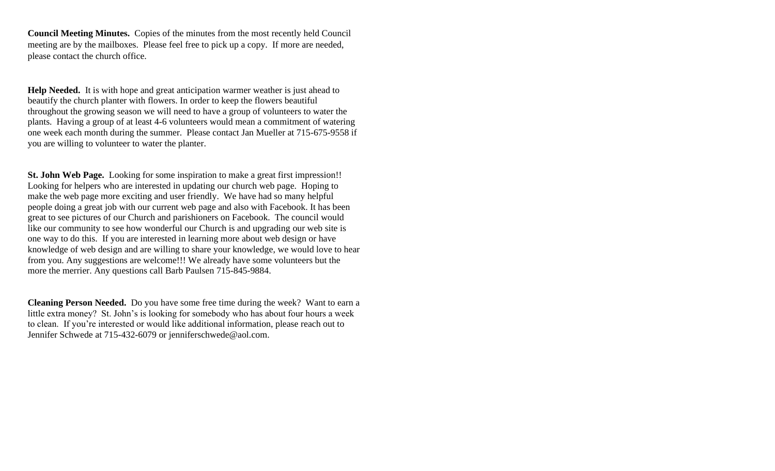**Council Meeting Minutes.** Copies of the minutes from the most recently held Council meeting are by the mailboxes. Please feel free to pick up a copy. If more are needed, please contact the church office.

**Help Needed.** It is with hope and great anticipation warmer weather is just ahead to beautify the church planter with flowers. In order to keep the flowers beautiful throughout the growing season we will need to have a group of volunteers to water the plants. Having a group of at least 4-6 volunteers would mean a commitment of watering one week each month during the summer. Please contact Jan Mueller at 715-675-9558 if you are willing to volunteer to water the planter.

**St. John Web Page.** Looking for some inspiration to make a great first impression!! Looking for helpers who are interested in updating our church web page. Hoping to make the web page more exciting and user friendly. We have had so many helpful people doing a great job with our current web page and also with Facebook. It has been great to see pictures of our Church and parishioners on Facebook. The council would like our community to see how wonderful our Church is and upgrading our web site is one way to do this. If you are interested in learning more about web design or have knowledge of web design and are willing to share your knowledge, we would love to hear from you. Any suggestions are welcome!!! We already have some volunteers but the more the merrier. Any questions call Barb Paulsen 715-845-9884.

**Cleaning Person Needed.** Do you have some free time during the week? Want to earn a little extra money? St. John's is looking for somebody who has about four hours a week to clean. If you're interested or would like additional information, please reach out to Jennifer Schwede at 715-432-6079 or jenniferschwede@aol.com.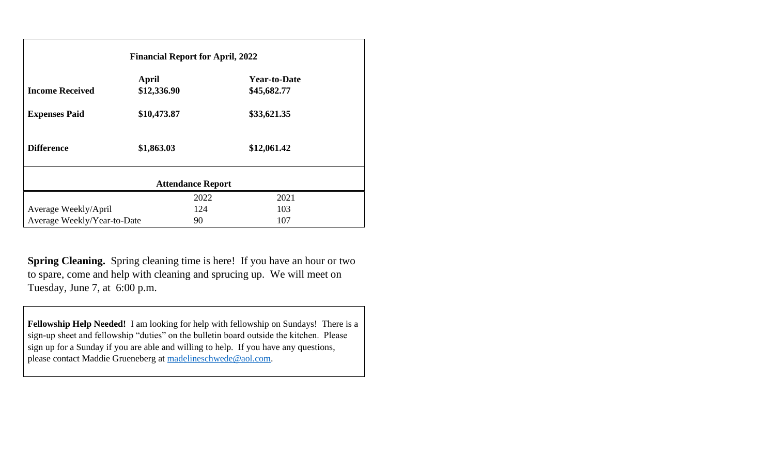| <b>Financial Report for April, 2022</b> |                             |      |                                    |  |  |  |
|-----------------------------------------|-----------------------------|------|------------------------------------|--|--|--|
| <b>Income Received</b>                  | <b>April</b><br>\$12,336.90 |      | <b>Year-to-Date</b><br>\$45,682.77 |  |  |  |
| <b>Expenses Paid</b>                    | \$10,473.87                 |      | \$33,621.35                        |  |  |  |
|                                         |                             |      |                                    |  |  |  |
| <b>Difference</b>                       | \$1,863.03                  |      | \$12,061.42                        |  |  |  |
| <b>Attendance Report</b>                |                             |      |                                    |  |  |  |
|                                         |                             | 2022 | 2021                               |  |  |  |
| Average Weekly/April                    |                             | 124  | 103                                |  |  |  |
| Average Weekly/Year-to-Date             |                             | 90   | 107                                |  |  |  |

**Spring Cleaning.** Spring cleaning time is here! If you have an hour or two to spare, come and help with cleaning and sprucing up. We will meet on Tuesday, June 7, at 6:00 p.m.

**Fellowship Help Needed!** I am looking for help with fellowship on Sundays! There is a sign-up sheet and fellowship "duties" on the bulletin board outside the kitchen. Please sign up for a Sunday if you are able and willing to help. If you have any questions, please contact Maddie Grueneberg at [madelineschwede@aol.com.](mailto:madelineschwede@aol.com)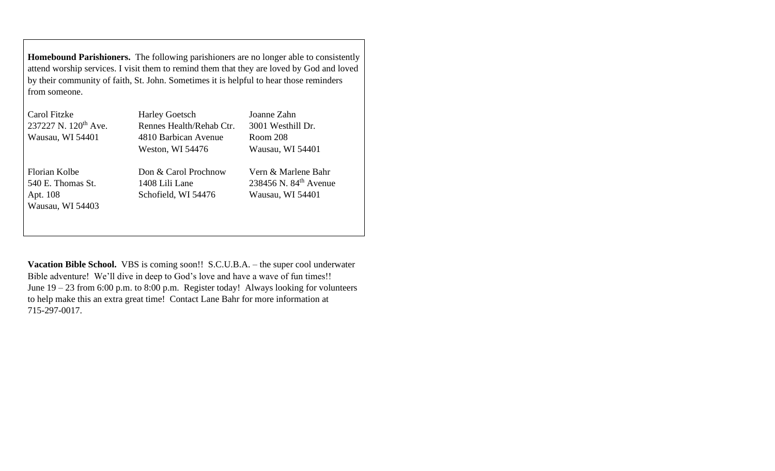**Homebound Parishioners.** The following parishioners are no longer able to consistently attend worship services. I visit them to remind them that they are loved by God and loved by their community of faith, St. John. Sometimes it is helpful to hear those reminders from someone.

| Carol Fitzke                     | <b>Harley Goetsch</b>    | Joanne Zahn                       |
|----------------------------------|--------------------------|-----------------------------------|
| 237227 N. 120 <sup>th</sup> Ave. | Rennes Health/Rehab Ctr. | 3001 Westhill Dr.                 |
| Wausau, WI 54401                 | 4810 Barbican Avenue     | Room 208                          |
|                                  | Weston, WI 54476         | Wausau, WI 54401                  |
| Florian Kolbe                    | Don & Carol Prochnow     | Vern & Marlene Bahr               |
| 540 E. Thomas St.                | 1408 Lili Lane           | 238456 N. 84 <sup>th</sup> Avenue |
| Apt. 108                         | Schofield, WI 54476      | Wausau, WI 54401                  |
| Wausau, WI 54403                 |                          |                                   |
|                                  |                          |                                   |
|                                  |                          |                                   |

**Vacation Bible School.** VBS is coming soon!! S.C.U.B.A. – the super cool underwater Bible adventure! We'll dive in deep to God's love and have a wave of fun times!! June 19 – 23 from 6:00 p.m. to 8:00 p.m. Register today! Always looking for volunteers to help make this an extra great time! Contact Lane Bahr for more information at 715-297-0017.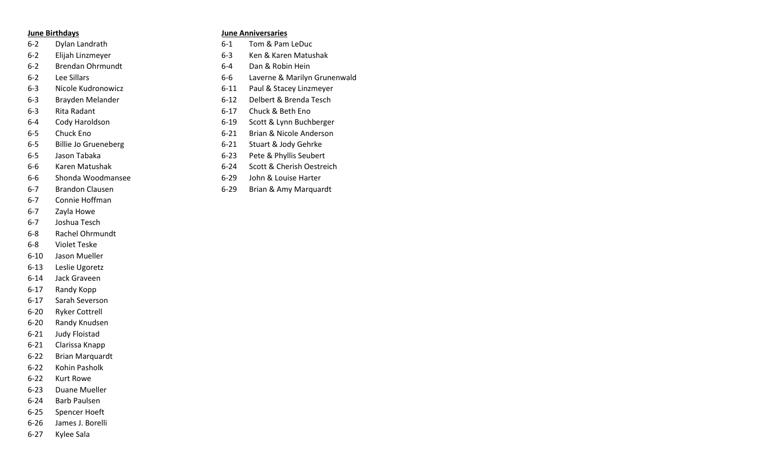- 
- 
- 
- 
- 
- 
- 
- 
- 
- 
- 
- 
- 
- 
- 6-7 Connie Hoffman
- 6-7 Zayla Howe
- 6-7 Joshua Tesch
- 6-8 Rachel Ohrmundt
- 6-8 Violet Teske
- 6-10 Jason Mueller
- 6-13 Leslie Ugoretz
- 6-14 Jack Graveen
- 6-17 Randy Kopp
- 6-17 Sarah Severson
- 6-20 Ryker Cottrell
- 6-20 Randy Knudsen
- 6-21 Judy Floistad
- 6-21 Clarissa Knapp
- 6-22 Brian Marquardt
- 6-22 Kohin Pasholk
- 6-22 Kurt Rowe
- 6-23 Duane Mueller
- 6-24 Barb Paulsen
- 6-25 Spencer Hoeft
- 6-26 James J. Borelli
- 6-27 Kylee Sala

## **June Birthdays June Anniversaries**

- 6-2 Dylan Landrath 6-1 Tom & Pam LeDuc
- 6-2 Elijah Linzmeyer 6-3 Ken & Karen Matushak
- 6-2 Brendan Ohrmundt 6-4 Dan & Robin Hein
- 6-2 Lee Sillars 6-6 Laverne & Marilyn Grunenwald
- 6-3 Nicole Kudronowicz 6-11 Paul & Stacey Linzmeyer
- 6-3 Brayden Melander 1986 12 Belbert & Brenda Tesch
- 6-3 Rita Radant 6-17 Chuck & Beth Eno
- 6-4 Cody Haroldson 6-19 Scott & Lynn Buchberger
- 6-5 Chuck Eno 6-21 Brian & Nicole Anderson
- 6-5 Billie Jo Grueneberg 6-21 Stuart & Jody Gehrke
- 6-5 Jason Tabaka 6-23 Pete & Phyllis Seubert
- 6-6 Karen Matushak 6-24 Scott & Cherish Oestreich
- 6-6 Shonda Woodmansee 6-29 John & Louise Harter
- 6-7 Brandon Clausen **6-29 Brian & Amy Marquardt**